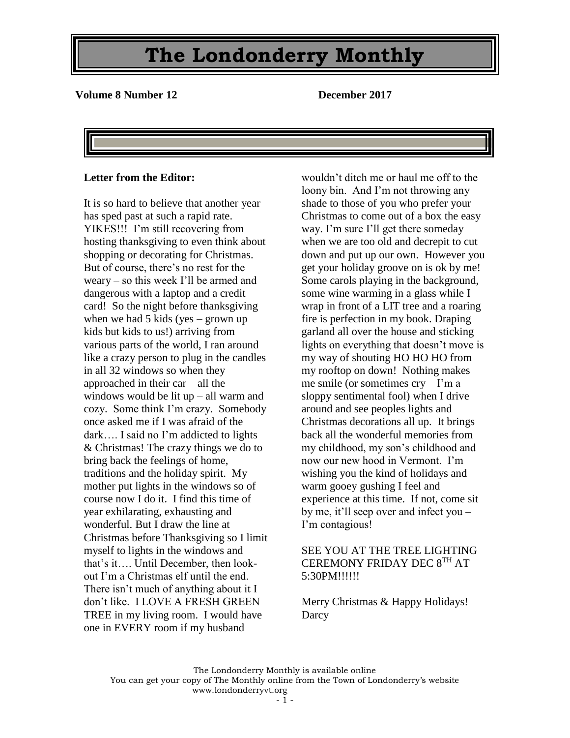**Volume 8 Number 12 December 2017**

#### **Letter from the Editor:**

It is so hard to believe that another year has sped past at such a rapid rate. YIKES!!! I'm still recovering from hosting thanksgiving to even think about shopping or decorating for Christmas. But of course, there's no rest for the weary – so this week I'll be armed and dangerous with a laptop and a credit card! So the night before thanksgiving when we had 5 kids (yes – grown up kids but kids to us!) arriving from various parts of the world, I ran around like a crazy person to plug in the candles in all 32 windows so when they approached in their car – all the windows would be lit up – all warm and cozy. Some think I'm crazy. Somebody once asked me if I was afraid of the dark…. I said no I'm addicted to lights & Christmas! The crazy things we do to bring back the feelings of home, traditions and the holiday spirit. My mother put lights in the windows so of course now I do it. I find this time of year exhilarating, exhausting and wonderful. But I draw the line at Christmas before Thanksgiving so I limit myself to lights in the windows and that's it…. Until December, then lookout I'm a Christmas elf until the end. There isn't much of anything about it I don't like. I LOVE A FRESH GREEN TREE in my living room. I would have one in EVERY room if my husband

wouldn't ditch me or haul me off to the loony bin. And I'm not throwing any shade to those of you who prefer your Christmas to come out of a box the easy way. I'm sure I'll get there someday when we are too old and decrepit to cut down and put up our own. However you get your holiday groove on is ok by me! Some carols playing in the background, some wine warming in a glass while I wrap in front of a LIT tree and a roaring fire is perfection in my book. Draping garland all over the house and sticking lights on everything that doesn't move is my way of shouting HO HO HO from my rooftop on down! Nothing makes me smile (or sometimes  $\text{cry} - \text{I'm a}$ sloppy sentimental fool) when I drive around and see peoples lights and Christmas decorations all up. It brings back all the wonderful memories from my childhood, my son's childhood and now our new hood in Vermont. I'm wishing you the kind of holidays and warm gooey gushing I feel and experience at this time. If not, come sit by me, it'll seep over and infect you – I'm contagious!

#### SEE YOU AT THE TREE LIGHTING CEREMONY FRIDAY DEC 8TH AT 5:30PM!!!!!!

Merry Christmas & Happy Holidays! **Darcy**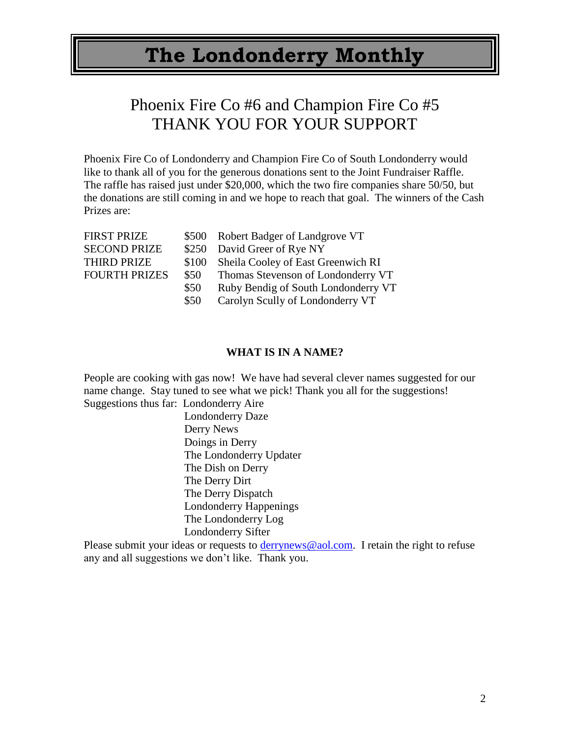## Phoenix Fire Co #6 and Champion Fire Co #5 THANK YOU FOR YOUR SUPPORT

Phoenix Fire Co of Londonderry and Champion Fire Co of South Londonderry would like to thank all of you for the generous donations sent to the Joint Fundraiser Raffle. The raffle has raised just under \$20,000, which the two fire companies share 50/50, but the donations are still coming in and we hope to reach that goal. The winners of the Cash Prizes are:

| <b>FIRST PRIZE</b>   |       | \$500 Robert Badger of Landgrove VT |
|----------------------|-------|-------------------------------------|
| <b>SECOND PRIZE</b>  |       | \$250 David Greer of Rye NY         |
| <b>THIRD PRIZE</b>   | \$100 | Sheila Cooley of East Greenwich RI  |
| <b>FOURTH PRIZES</b> | \$50  | Thomas Stevenson of Londonderry VT  |
|                      | \$50  | Ruby Bendig of South Londonderry VT |
|                      | \$50  | Carolyn Scully of Londonderry VT    |
|                      |       |                                     |

#### **WHAT IS IN A NAME?**

People are cooking with gas now! We have had several clever names suggested for our name change. Stay tuned to see what we pick! Thank you all for the suggestions! Suggestions thus far: Londonderry Aire

> Londonderry Daze Derry News Doings in Derry The Londonderry Updater The Dish on Derry The Derry Dirt The Derry Dispatch Londonderry Happenings The Londonderry Log Londonderry Sifter

Please submit your ideas or requests to [derrynews@aol.com.](mailto:derrynews@aol.com) I retain the right to refuse any and all suggestions we don't like. Thank you.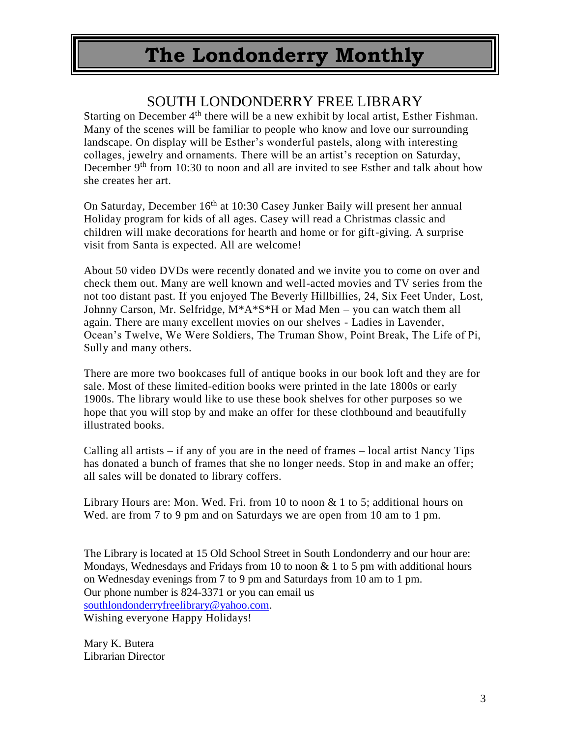### SOUTH LONDONDERRY FREE LIBRARY

Starting on December  $4<sup>th</sup>$  there will be a new exhibit by local artist, Esther Fishman. Many of the scenes will be familiar to people who know and love our surrounding landscape. On display will be Esther's wonderful pastels, along with interesting collages, jewelry and ornaments. There will be an artist's reception on Saturday, December 9<sup>th</sup> from 10:30 to noon and all are invited to see Esther and talk about how she creates her art.

On Saturday, December 16th at 10:30 Casey Junker Baily will present her annual Holiday program for kids of all ages. Casey will read a Christmas classic and children will make decorations for hearth and home or for gift-giving. A surprise visit from Santa is expected. All are welcome!

About 50 video DVDs were recently donated and we invite you to come on over and check them out. Many are well known and well-acted movies and TV series from the not too distant past. If you enjoyed The Beverly Hillbillies, 24, Six Feet Under, Lost, Johnny Carson, Mr. Selfridge, M\*A\*S\*H or Mad Men – you can watch them all again. There are many excellent movies on our shelves - Ladies in Lavender, Ocean's Twelve, We Were Soldiers, The Truman Show, Point Break, The Life of Pi, Sully and many others.

There are more two bookcases full of antique books in our book loft and they are for sale. Most of these limited-edition books were printed in the late 1800s or early 1900s. The library would like to use these book shelves for other purposes so we hope that you will stop by and make an offer for these clothbound and beautifully illustrated books.

Calling all artists – if any of you are in the need of frames – local artist Nancy Tips has donated a bunch of frames that she no longer needs. Stop in and make an offer; all sales will be donated to library coffers.

Library Hours are: Mon. Wed. Fri. from 10 to noon & 1 to 5; additional hours on Wed. are from 7 to 9 pm and on Saturdays we are open from 10 am to 1 pm.

The Library is located at 15 Old School Street in South Londonderry and our hour are: Mondays, Wednesdays and Fridays from 10 to noon  $& 1$  to 5 pm with additional hours on Wednesday evenings from 7 to 9 pm and Saturdays from 10 am to 1 pm. Our phone number is 824-3371 or you can email us [southlondonderryfreelibrary@yahoo.com.](mailto:southlondonderryfreelibrary@yahoo.com) Wishing everyone Happy Holidays!

Mary K. Butera Librarian Director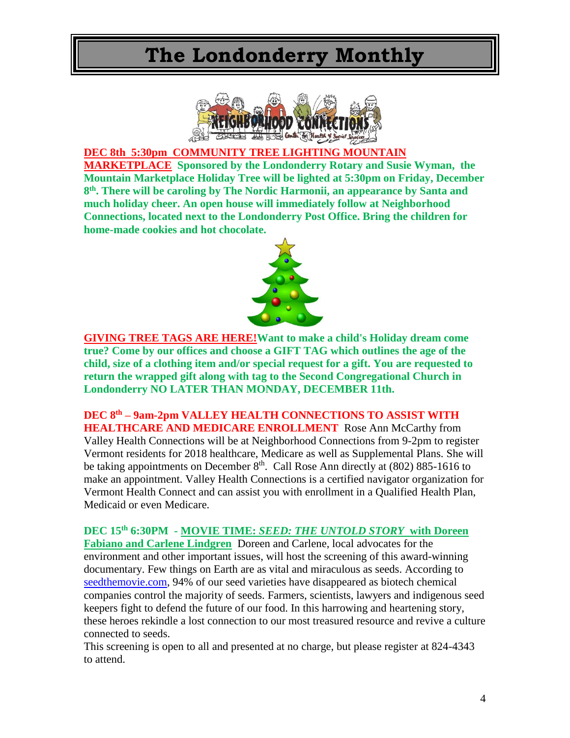

#### **DEC 8th 5:30pm COMMUNITY TREE LIGHTING MOUNTAIN**

**MARKETPLACE Sponsored by the Londonderry Rotary and Susie Wyman, the Mountain Marketplace Holiday Tree will be lighted at 5:30pm on Friday, December 8 th. There will be caroling by The Nordic Harmonii, an appearance by Santa and much holiday cheer. An open house will immediately follow at Neighborhood Connections, located next to the Londonderry Post Office. Bring the children for home-made cookies and hot chocolate.**



**GIVING TREE TAGS ARE HERE!Want to make a child's Holiday dream come true? Come by our offices and choose a GIFT TAG which outlines the age of the child, size of a clothing item and/or special request for a gift. You are requested to return the wrapped gift along with tag to the Second Congregational Church in Londonderry NO LATER THAN MONDAY, DECEMBER 11th.**

**DEC 8th – 9am-2pm VALLEY HEALTH CONNECTIONS TO ASSIST WITH HEALTHCARE AND MEDICARE ENROLLMENT** Rose Ann McCarthy from Valley Health Connections will be at Neighborhood Connections from 9-2pm to register Vermont residents for 2018 healthcare, Medicare as well as Supplemental Plans. She will be taking appointments on December  $8<sup>th</sup>$ . Call Rose Ann directly at (802) 885-1616 to make an appointment. Valley Health Connections is a certified navigator organization for Vermont Health Connect and can assist you with enrollment in a Qualified Health Plan, Medicaid or even Medicare.

**DEC 15th 6:30PM - MOVIE TIME:** *SEED: THE UNTOLD STORY* **with Doreen Fabiano and Carlene Lindgren** Doreen and Carlene, local advocates for the environment and other important issues, will host the screening of this award-winning documentary. Few things on Earth are as vital and miraculous as seeds. According to [seedthemovie.com,](http://seedthemovie.com/) 94% of our seed varieties have disappeared as biotech chemical companies control the majority of seeds. Farmers, scientists, lawyers and indigenous seed keepers fight to defend the future of our food. In this harrowing and heartening story, these heroes rekindle a lost connection to our most treasured resource and revive a culture connected to seeds.

This screening is open to all and presented at no charge, but please register at 824-4343 to attend.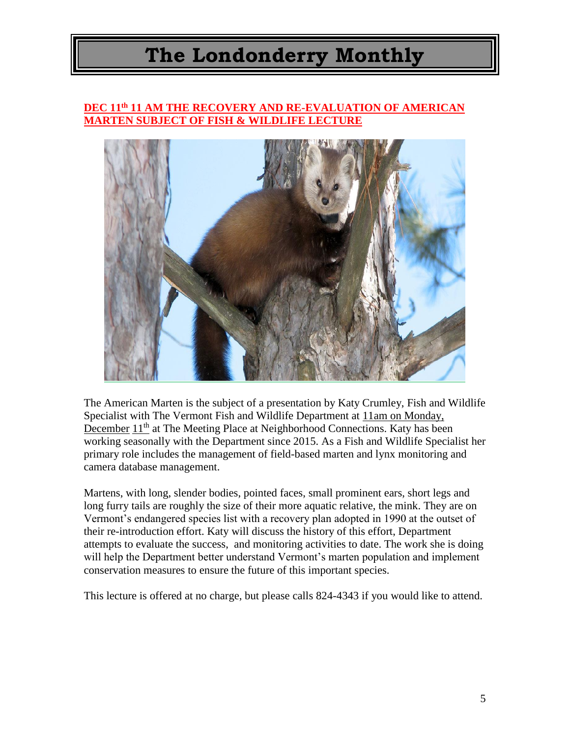#### **DEC 11th 11 AM THE RECOVERY AND RE-EVALUATION OF AMERICAN MARTEN SUBJECT OF FISH & WILDLIFE LECTURE**



The American Marten is the subject of a presentation by Katy Crumley, Fish and Wildlife Specialist with The Vermont Fish and Wildlife Department at 11am on Monday, December 11<sup>th</sup> at The Meeting Place at Neighborhood Connections. Katy has been working seasonally with the Department since 2015. As a Fish and Wildlife Specialist her primary role includes the management of field-based marten and lynx monitoring and camera database management.

Martens, with long, slender bodies, pointed faces, small prominent ears, short legs and long furry tails are roughly the size of their more aquatic relative, the mink. They are on Vermont's endangered species list with a recovery plan adopted in 1990 at the outset of their re-introduction effort. Katy will discuss the history of this effort, Department attempts to evaluate the success, and monitoring activities to date. The work she is doing will help the Department better understand Vermont's marten population and implement conservation measures to ensure the future of this important species.

This lecture is offered at no charge, but please calls 824-4343 if you would like to attend.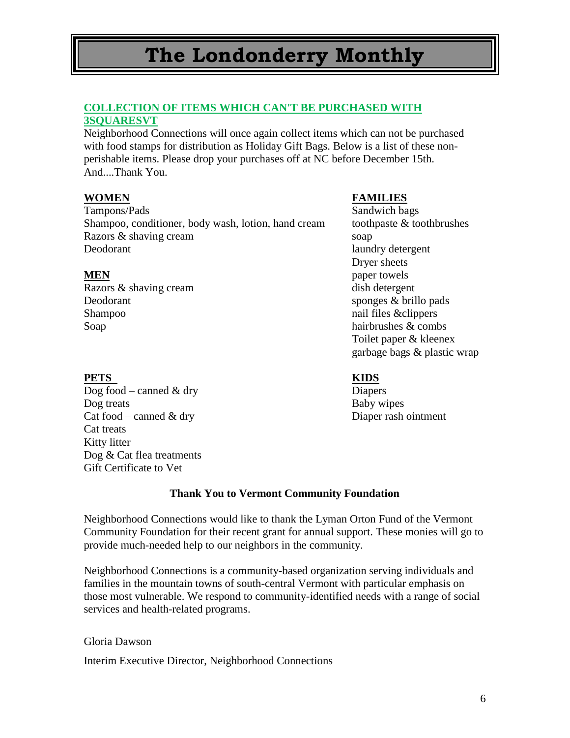#### **COLLECTION OF ITEMS WHICH CAN'T BE PURCHASED WITH 3SQUARESVT**

Neighborhood Connections will once again collect items which can not be purchased with food stamps for distribution as Holiday Gift Bags. Below is a list of these nonperishable items. Please drop your purchases off at NC before December 15th. And....Thank You.

Tampons/Pads Sandwich bags Shampoo, conditioner, body wash, lotion, hand cream toothpaste & toothbrushes Razors & shaving cream soap Deodorant laundry detergent

Razors & shaving cream dish detergent Deodorant sponges & brillo pads Shampoo nail files & clippers Soap hairbrushes & combs

#### **WOMEN FAMILIES**

Dryer sheets **MEN** paper towels Toilet paper & kleenex garbage bags & plastic wrap

#### **PETS KIDS**

 $\overline{Dog}$  food – canned & dry Diapers Dog treats Baby wipes Cat food – canned & dry Diaper rash ointment Cat treats Kitty litter Dog & Cat flea treatments Gift Certificate to Vet

#### **Thank You to Vermont Community Foundation**

Neighborhood Connections would like to thank the Lyman Orton Fund of the Vermont Community Foundation for their recent grant for annual support. These monies will go to provide much-needed help to our neighbors in the community.

Neighborhood Connections is a community-based organization serving individuals and families in the mountain towns of south-central Vermont with particular emphasis on those most vulnerable. We respond to community-identified needs with a range of social services and health-related programs.

#### Gloria Dawson

Interim Executive Director, Neighborhood Connections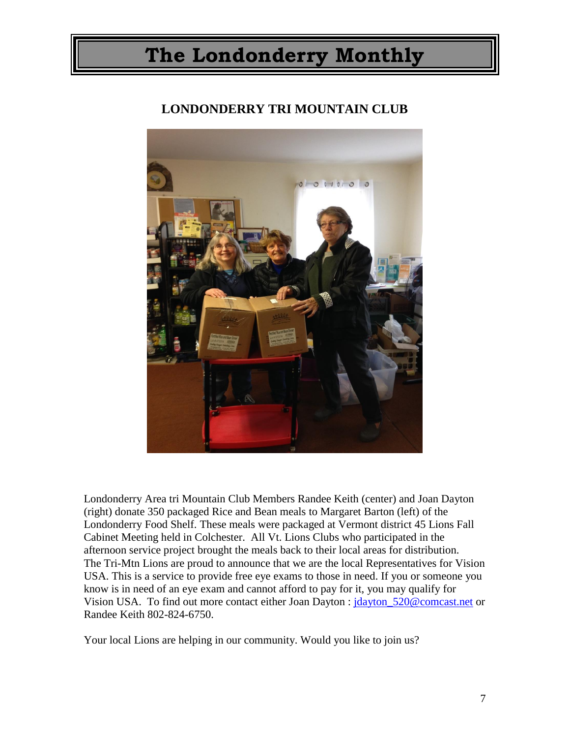### **LONDONDERRY TRI MOUNTAIN CLUB**



Londonderry Area tri Mountain Club Members Randee Keith (center) and Joan Dayton (right) donate 350 packaged Rice and Bean meals to Margaret Barton (left) of the Londonderry Food Shelf. These meals were packaged at Vermont district 45 Lions Fall Cabinet Meeting held in Colchester. All Vt. Lions Clubs who participated in the afternoon service project brought the meals back to their local areas for distribution. The Tri-Mtn Lions are proud to announce that we are the local Representatives for Vision USA. This is a service to provide free eye exams to those in need. If you or someone you know is in need of an eye exam and cannot afford to pay for it, you may qualify for Vision USA. To find out more contact either Joan Dayton : [jdayton\\_520@comcast.net](mailto:jdayton_520@comcast.net) or Randee Keith 802-824-6750.

Your local Lions are helping in our community. Would you like to join us?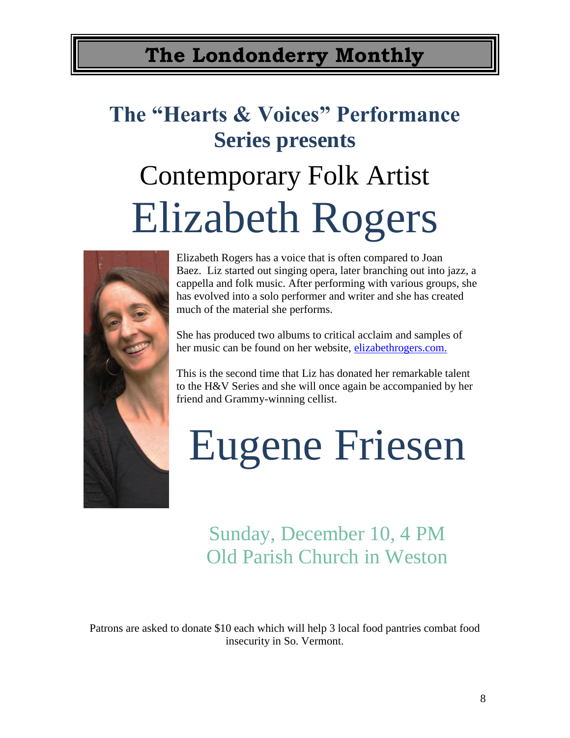# **The "Hearts & Voices" Performance Series presents**

# Contemporary Folk Artist Elizabeth Rogers



Elizabeth Rogers has a voice that is often compared to Joan Baez. Liz started out singing opera, later branching out into jazz, a cappella and folk music. After performing with various groups, she has evolved into a solo performer and writer and she has created much of the material she performs.

She has produced two albums to critical acclaim and samples of her music can be found on her website, [elizabethrogers.com.](http://www.elizabethrogers.com./)

This is the second time that Liz has donated her remarkable talent to the H&V Series and she will once again be accompanied by her friend and Grammy-winning cellist.

# Eugene Friesen

## Sunday, December 10, 4 PM Old Parish Church in Weston

Patrons are asked to donate \$10 each which will help 3 local food pantries combat food insecurity in So. Vermont.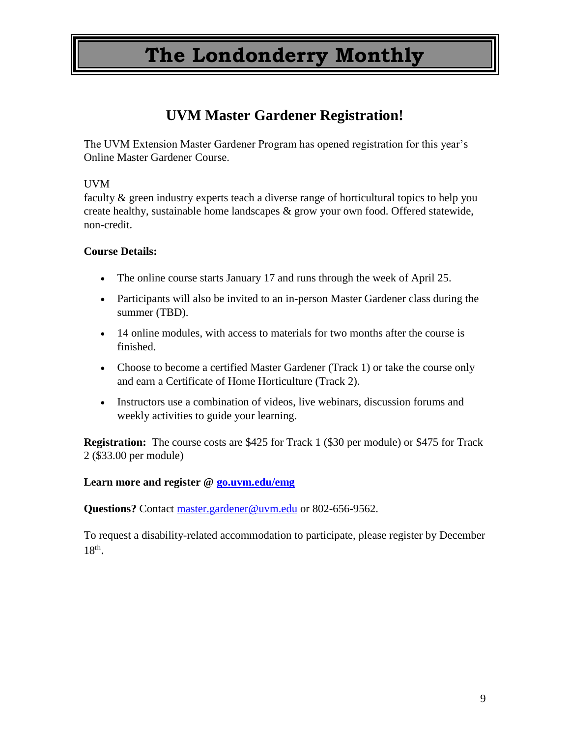## **UVM Master Gardener Registration!**

The UVM Extension Master Gardener Program has opened registration for this year's Online Master Gardener Course.

#### UVM

faculty & green industry experts teach a diverse range of horticultural topics to help you create healthy, sustainable home landscapes & grow your own food. Offered statewide, non-credit.

#### **Course Details:**

- The online course starts January 17 and runs through the week of April 25.
- Participants will also be invited to an in-person Master Gardener class during the summer (TBD).
- 14 online modules, with access to materials for two months after the course is finished.
- Choose to become a certified Master Gardener (Track 1) or take the course only and earn a Certificate of Home Horticulture (Track 2).
- Instructors use a combination of videos, live webinars, discussion forums and weekly activities to guide your learning.

**Registration:** The course costs are \$425 for Track 1 (\$30 per module) or \$475 for Track 2 (\$33.00 per module)

#### **Learn more and register @ [go.uvm.edu/emg](http://go.uvm.edu/emg)**

**Questions?** Contact [master.gardener@uvm.edu](mailto:master.gardener@uvm.edu) or 802-656-9562.

To request a disability-related accommodation to participate, please register by December  $18<sup>th</sup>$ .